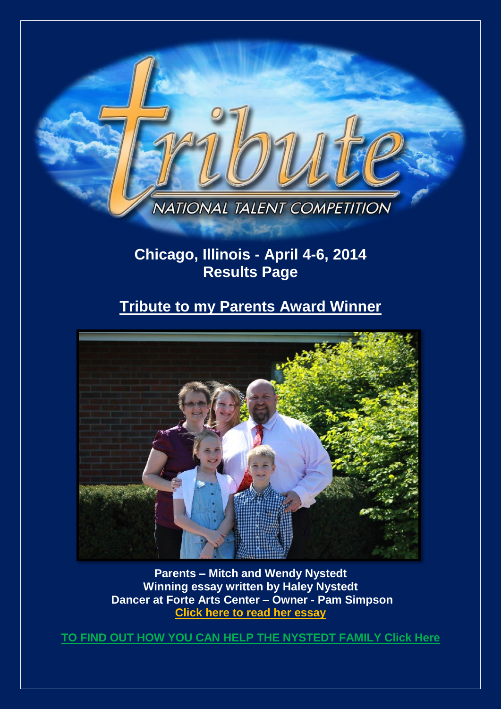

# **Chicago, Illinois - April 4-6, 2014 Results Page**

# **Tribute to my Parents Award Winner**



**Parents – Mitch and Wendy Nystedt Winning essay written by Haley Nystedt Dancer at Forte Arts Center – Owner - Pam Simpson [Click here to read](http://www.tributetodance.com/2014/essays/chicagoessay.pdf) her essay** 

**[TO FIND OUT HOW YOU CAN HELP THE NYSTEDT FAMILY](http://djauwerda.wix.com/mitchmadness2014) Click Here**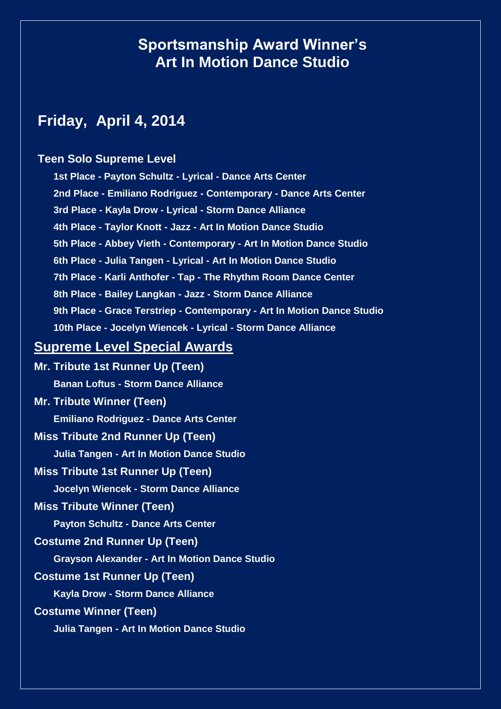# **Sportsmanship Award Winner's Art In Motion Dance Studio**

# **Friday, April 4, 2014**

### **Teen Solo Supreme Level**

**1st Place - Payton Schultz - Lyrical - Dance Arts Center 2nd Place - Emiliano Rodriguez - Contemporary - Dance Arts Center 3rd Place - Kayla Drow - Lyrical - Storm Dance Alliance 4th Place - Taylor Knott - Jazz - Art In Motion Dance Studio 5th Place - Abbey Vieth - Contemporary - Art In Motion Dance Studio 6th Place - Julia Tangen - Lyrical - Art In Motion Dance Studio 7th Place - Karli Anthofer - Tap - The Rhythm Room Dance Center 8th Place - Bailey Langkan - Jazz - Storm Dance Alliance 9th Place - Grace Terstriep - Contemporary - Art In Motion Dance Studio 10th Place - Jocelyn Wiencek - Lyrical - Storm Dance Alliance**

## **Supreme Level Special Awards**

**Mr. Tribute 1st Runner Up (Teen) Banan Loftus - Storm Dance Alliance Mr. Tribute Winner (Teen) Emiliano Rodriguez - Dance Arts Center Miss Tribute 2nd Runner Up (Teen) Julia Tangen - Art In Motion Dance Studio Miss Tribute 1st Runner Up (Teen) Jocelyn Wiencek - Storm Dance Alliance Miss Tribute Winner (Teen) Payton Schultz - Dance Arts Center Costume 2nd Runner Up (Teen) Grayson Alexander - Art In Motion Dance Studio Costume 1st Runner Up (Teen) Kayla Drow - Storm Dance Alliance Costume Winner (Teen) Julia Tangen - Art In Motion Dance Studio**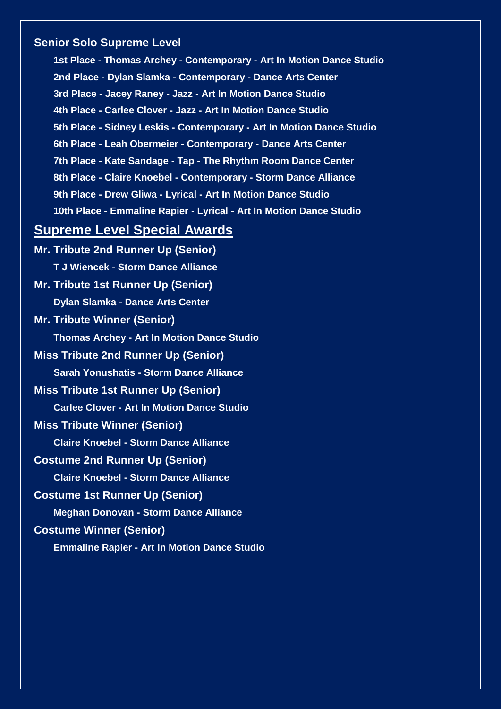### **Senior Solo Supreme Level**

**1st Place - Thomas Archey - Contemporary - Art In Motion Dance Studio 2nd Place - Dylan Slamka - Contemporary - Dance Arts Center 3rd Place - Jacey Raney - Jazz - Art In Motion Dance Studio 4th Place - Carlee Clover - Jazz - Art In Motion Dance Studio 5th Place - Sidney Leskis - Contemporary - Art In Motion Dance Studio 6th Place - Leah Obermeier - Contemporary - Dance Arts Center 7th Place - Kate Sandage - Tap - The Rhythm Room Dance Center 8th Place - Claire Knoebel - Contemporary - Storm Dance Alliance 9th Place - Drew Gliwa - Lyrical - Art In Motion Dance Studio 10th Place - Emmaline Rapier - Lyrical - Art In Motion Dance Studio**

## **Supreme Level Special Awards**

**Mr. Tribute 2nd Runner Up (Senior) T J Wiencek - Storm Dance Alliance Mr. Tribute 1st Runner Up (Senior) Dylan Slamka - Dance Arts Center Mr. Tribute Winner (Senior) Thomas Archey - Art In Motion Dance Studio Miss Tribute 2nd Runner Up (Senior) Sarah Yonushatis - Storm Dance Alliance Miss Tribute 1st Runner Up (Senior) Carlee Clover - Art In Motion Dance Studio Miss Tribute Winner (Senior) Claire Knoebel - Storm Dance Alliance Costume 2nd Runner Up (Senior) Claire Knoebel - Storm Dance Alliance Costume 1st Runner Up (Senior) Meghan Donovan - Storm Dance Alliance Costume Winner (Senior)**

**Emmaline Rapier - Art In Motion Dance Studio**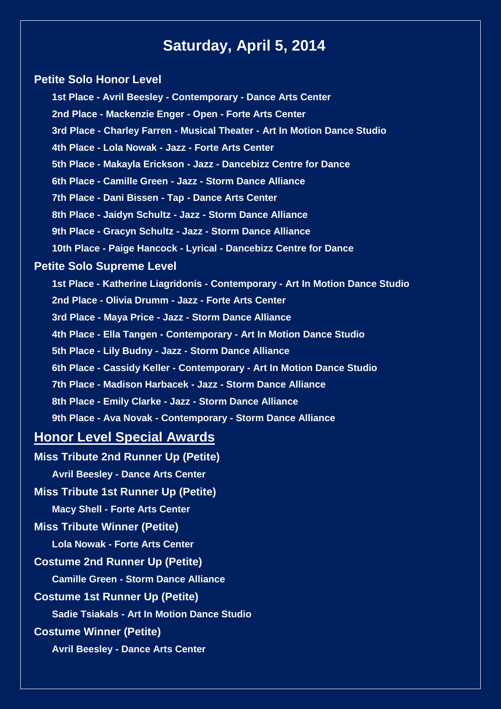# **Saturday, April 5, 2014**

### **Petite Solo Honor Level**

**1st Place - Avril Beesley - Contemporary - Dance Arts Center 2nd Place - Mackenzie Enger - Open - Forte Arts Center 3rd Place - Charley Farren - Musical Theater - Art In Motion Dance Studio 4th Place - Lola Nowak - Jazz - Forte Arts Center 5th Place - Makayla Erickson - Jazz - Dancebizz Centre for Dance 6th Place - Camille Green - Jazz - Storm Dance Alliance 7th Place - Dani Bissen - Tap - Dance Arts Center 8th Place - Jaidyn Schultz - Jazz - Storm Dance Alliance 9th Place - Gracyn Schultz - Jazz - Storm Dance Alliance 10th Place - Paige Hancock - Lyrical - Dancebizz Centre for Dance Petite Solo Supreme Level 1st Place - Katherine Liagridonis - Contemporary - Art In Motion Dance Studio 2nd Place - Olivia Drumm - Jazz - Forte Arts Center 3rd Place - Maya Price - Jazz - Storm Dance Alliance 4th Place - Ella Tangen - Contemporary - Art In Motion Dance Studio 5th Place - Lily Budny - Jazz - Storm Dance Alliance 6th Place - Cassidy Keller - Contemporary - Art In Motion Dance Studio 7th Place - Madison Harbacek - Jazz - Storm Dance Alliance 8th Place - Emily Clarke - Jazz - Storm Dance Alliance 9th Place - Ava Novak - Contemporary - Storm Dance Alliance**

## **Honor Level Special Awards**

**Miss Tribute 2nd Runner Up (Petite)**

**Avril Beesley - Dance Arts Center**

### **Miss Tribute 1st Runner Up (Petite)**

**Macy Shell - Forte Arts Center**

### **Miss Tribute Winner (Petite)**

**Lola Nowak - Forte Arts Center**

### **Costume 2nd Runner Up (Petite)**

**Camille Green - Storm Dance Alliance**

### **Costume 1st Runner Up (Petite)**

**Sadie Tsiakals - Art In Motion Dance Studio**

### **Costume Winner (Petite)**

**Avril Beesley - Dance Arts Center**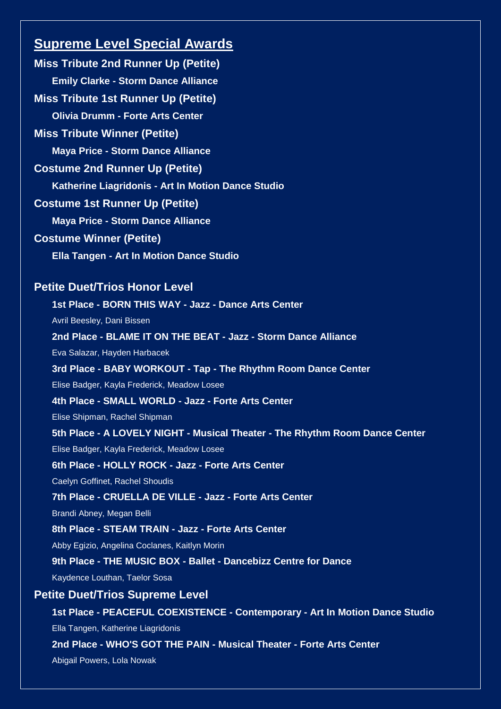## **Supreme Level Special Awards**

**Miss Tribute 2nd Runner Up (Petite) Emily Clarke - Storm Dance Alliance Miss Tribute 1st Runner Up (Petite) Olivia Drumm - Forte Arts Center Miss Tribute Winner (Petite) Maya Price - Storm Dance Alliance Costume 2nd Runner Up (Petite) Katherine Liagridonis - Art In Motion Dance Studio Costume 1st Runner Up (Petite) Maya Price - Storm Dance Alliance Costume Winner (Petite) Ella Tangen - Art In Motion Dance Studio Petite Duet/Trios Honor Level 1st Place - BORN THIS WAY - Jazz - Dance Arts Center** Avril Beesley, Dani Bissen **2nd Place - BLAME IT ON THE BEAT - Jazz - Storm Dance Alliance** Eva Salazar, Hayden Harbacek **3rd Place - BABY WORKOUT - Tap - The Rhythm Room Dance Center** Elise Badger, Kayla Frederick, Meadow Losee **4th Place - SMALL WORLD - Jazz - Forte Arts Center** Elise Shipman, Rachel Shipman **5th Place - A LOVELY NIGHT - Musical Theater - The Rhythm Room Dance Center** Elise Badger, Kayla Frederick, Meadow Losee **6th Place - HOLLY ROCK - Jazz - Forte Arts Center** Caelyn Goffinet, Rachel Shoudis **7th Place - CRUELLA DE VILLE - Jazz - Forte Arts Center** Brandi Abney, Megan Belli **8th Place - STEAM TRAIN - Jazz - Forte Arts Center** Abby Egizio, Angelina Coclanes, Kaitlyn Morin **9th Place - THE MUSIC BOX - Ballet - Dancebizz Centre for Dance** Kaydence Louthan, Taelor Sosa **Petite Duet/Trios Supreme Level 1st Place - PEACEFUL COEXISTENCE - Contemporary - Art In Motion Dance Studio** Ella Tangen, Katherine Liagridonis **2nd Place - WHO'S GOT THE PAIN - Musical Theater - Forte Arts Center**

Abigail Powers, Lola Nowak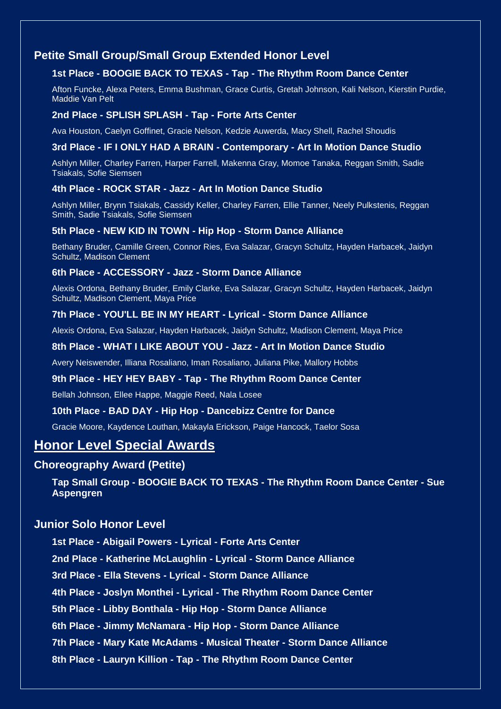### **Petite Small Group/Small Group Extended Honor Level**

### **1st Place - BOOGIE BACK TO TEXAS - Tap - The Rhythm Room Dance Center**

Afton Funcke, Alexa Peters, Emma Bushman, Grace Curtis, Gretah Johnson, Kali Nelson, Kierstin Purdie, Maddie Van Pelt

### **2nd Place - SPLISH SPLASH - Tap - Forte Arts Center**

Ava Houston, Caelyn Goffinet, Gracie Nelson, Kedzie Auwerda, Macy Shell, Rachel Shoudis

### **3rd Place - IF I ONLY HAD A BRAIN - Contemporary - Art In Motion Dance Studio**

Ashlyn Miller, Charley Farren, Harper Farrell, Makenna Gray, Momoe Tanaka, Reggan Smith, Sadie Tsiakals, Sofie Siemsen

#### **4th Place - ROCK STAR - Jazz - Art In Motion Dance Studio**

Ashlyn Miller, Brynn Tsiakals, Cassidy Keller, Charley Farren, Ellie Tanner, Neely Pulkstenis, Reggan Smith, Sadie Tsiakals, Sofie Siemsen

#### **5th Place - NEW KID IN TOWN - Hip Hop - Storm Dance Alliance**

Bethany Bruder, Camille Green, Connor Ries, Eva Salazar, Gracyn Schultz, Hayden Harbacek, Jaidyn Schultz, Madison Clement

### **6th Place - ACCESSORY - Jazz - Storm Dance Alliance**

Alexis Ordona, Bethany Bruder, Emily Clarke, Eva Salazar, Gracyn Schultz, Hayden Harbacek, Jaidyn Schultz, Madison Clement, Maya Price

#### **7th Place - YOU'LL BE IN MY HEART - Lyrical - Storm Dance Alliance**

Alexis Ordona, Eva Salazar, Hayden Harbacek, Jaidyn Schultz, Madison Clement, Maya Price

### **8th Place - WHAT I LIKE ABOUT YOU - Jazz - Art In Motion Dance Studio**

Avery Neiswender, Illiana Rosaliano, Iman Rosaliano, Juliana Pike, Mallory Hobbs

### **9th Place - HEY HEY BABY - Tap - The Rhythm Room Dance Center**

Bellah Johnson, Ellee Happe, Maggie Reed, Nala Losee

### **10th Place - BAD DAY - Hip Hop - Dancebizz Centre for Dance**

Gracie Moore, Kaydence Louthan, Makayla Erickson, Paige Hancock, Taelor Sosa

### **Honor Level Special Awards**

### **Choreography Award (Petite)**

**Tap Small Group - BOOGIE BACK TO TEXAS - The Rhythm Room Dance Center - Sue Aspengren**

### **Junior Solo Honor Level**

**1st Place - Abigail Powers - Lyrical - Forte Arts Center**

**2nd Place - Katherine McLaughlin - Lyrical - Storm Dance Alliance**

**3rd Place - Ella Stevens - Lyrical - Storm Dance Alliance**

**4th Place - Joslyn Monthei - Lyrical - The Rhythm Room Dance Center**

**5th Place - Libby Bonthala - Hip Hop - Storm Dance Alliance**

**6th Place - Jimmy McNamara - Hip Hop - Storm Dance Alliance**

**7th Place - Mary Kate McAdams - Musical Theater - Storm Dance Alliance**

### **8th Place - Lauryn Killion - Tap - The Rhythm Room Dance Center**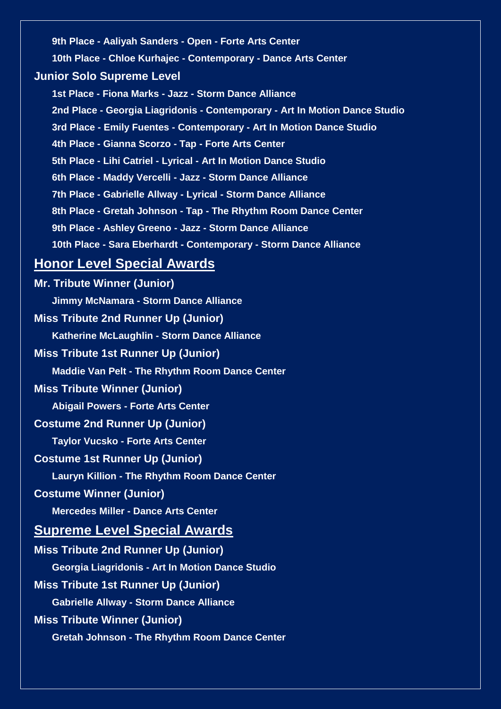**9th Place - Aaliyah Sanders - Open - Forte Arts Center**

**10th Place - Chloe Kurhajec - Contemporary - Dance Arts Center**

### **Junior Solo Supreme Level**

**1st Place - Fiona Marks - Jazz - Storm Dance Alliance 2nd Place - Georgia Liagridonis - Contemporary - Art In Motion Dance Studio 3rd Place - Emily Fuentes - Contemporary - Art In Motion Dance Studio 4th Place - Gianna Scorzo - Tap - Forte Arts Center 5th Place - Lihi Catriel - Lyrical - Art In Motion Dance Studio 6th Place - Maddy Vercelli - Jazz - Storm Dance Alliance 7th Place - Gabrielle Allway - Lyrical - Storm Dance Alliance 8th Place - Gretah Johnson - Tap - The Rhythm Room Dance Center 9th Place - Ashley Greeno - Jazz - Storm Dance Alliance 10th Place - Sara Eberhardt - Contemporary - Storm Dance Alliance**

## **Honor Level Special Awards**

**Mr. Tribute Winner (Junior) Jimmy McNamara - Storm Dance Alliance Miss Tribute 2nd Runner Up (Junior) Katherine McLaughlin - Storm Dance Alliance Miss Tribute 1st Runner Up (Junior) Maddie Van Pelt - The Rhythm Room Dance Center Miss Tribute Winner (Junior) Abigail Powers - Forte Arts Center Costume 2nd Runner Up (Junior) Taylor Vucsko - Forte Arts Center Costume 1st Runner Up (Junior) Lauryn Killion - The Rhythm Room Dance Center Costume Winner (Junior) Mercedes Miller - Dance Arts Center Supreme Level Special Awards Miss Tribute 2nd Runner Up (Junior) Georgia Liagridonis - Art In Motion Dance Studio Miss Tribute 1st Runner Up (Junior) Gabrielle Allway - Storm Dance Alliance Miss Tribute Winner (Junior) Gretah Johnson - The Rhythm Room Dance Center**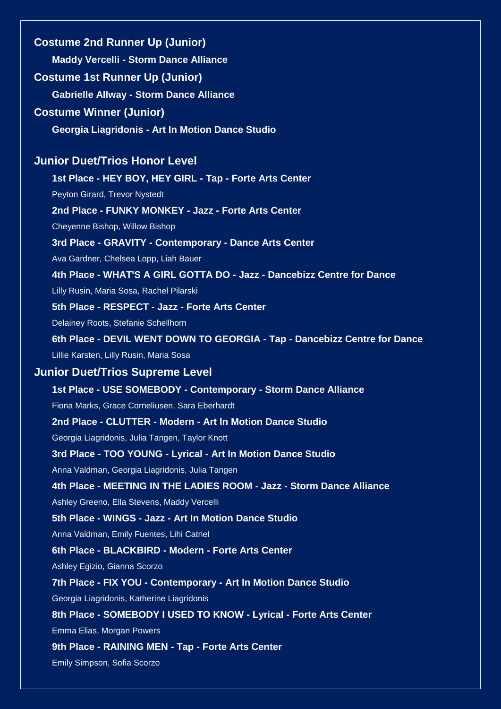**Costume 2nd Runner Up (Junior) Maddy Vercelli - Storm Dance Alliance Costume 1st Runner Up (Junior) Gabrielle Allway - Storm Dance Alliance Costume Winner (Junior) Georgia Liagridonis - Art In Motion Dance Studio Junior Duet/Trios Honor Level 1st Place - HEY BOY, HEY GIRL - Tap - Forte Arts Center** Peyton Girard, Trevor Nystedt **2nd Place - FUNKY MONKEY - Jazz - Forte Arts Center** Cheyenne Bishop, Willow Bishop **3rd Place - GRAVITY - Contemporary - Dance Arts Center** Ava Gardner, Chelsea Lopp, Liah Bauer **4th Place - WHAT'S A GIRL GOTTA DO - Jazz - Dancebizz Centre for Dance** Lilly Rusin, Maria Sosa, Rachel Pilarski **5th Place - RESPECT - Jazz - Forte Arts Center** Delainey Roots, Stefanie Schellhorn **6th Place - DEVIL WENT DOWN TO GEORGIA - Tap - Dancebizz Centre for Dance** Lillie Karsten, Lilly Rusin, Maria Sosa **Junior Duet/Trios Supreme Level 1st Place - USE SOMEBODY - Contemporary - Storm Dance Alliance** Fiona Marks, Grace Corneliusen, Sara Eberhardt **2nd Place - CLUTTER - Modern - Art In Motion Dance Studio** Georgia Liagridonis, Julia Tangen, Taylor Knott **3rd Place - TOO YOUNG - Lyrical - Art In Motion Dance Studio** Anna Valdman, Georgia Liagridonis, Julia Tangen **4th Place - MEETING IN THE LADIES ROOM - Jazz - Storm Dance Alliance** Ashley Greeno, Ella Stevens, Maddy Vercelli **5th Place - WINGS - Jazz - Art In Motion Dance Studio** Anna Valdman, Emily Fuentes, Lihi Catriel **6th Place - BLACKBIRD - Modern - Forte Arts Center** Ashley Egizio, Gianna Scorzo **7th Place - FIX YOU - Contemporary - Art In Motion Dance Studio** Georgia Liagridonis, Katherine Liagridonis **8th Place - SOMEBODY I USED TO KNOW - Lyrical - Forte Arts Center** Emma Elias, Morgan Powers **9th Place - RAINING MEN - Tap - Forte Arts Center** Emily Simpson, Sofia Scorzo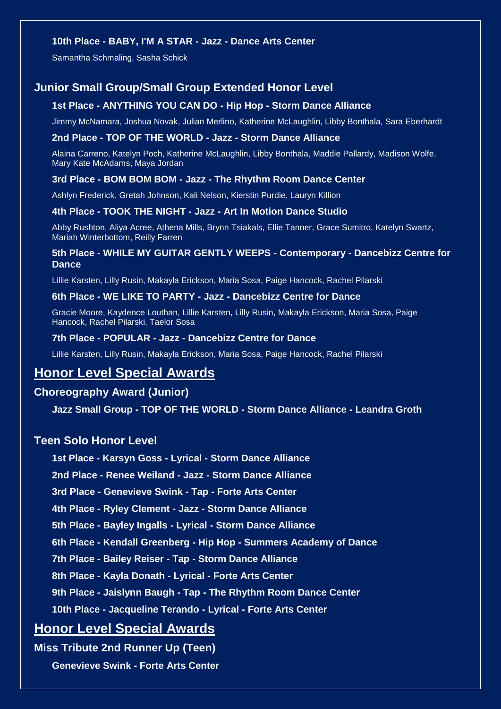### **10th Place - BABY, I'M A STAR - Jazz - Dance Arts Center**

Samantha Schmaling, Sasha Schick

### **Junior Small Group/Small Group Extended Honor Level**

### **1st Place - ANYTHING YOU CAN DO - Hip Hop - Storm Dance Alliance**

Jimmy McNamara, Joshua Novak, Julian Merlino, Katherine McLaughlin, Libby Bonthala, Sara Eberhardt

### **2nd Place - TOP OF THE WORLD - Jazz - Storm Dance Alliance**

Alaina Carreno, Katelyn Poch, Katherine McLaughlin, Libby Bonthala, Maddie Pallardy, Madison Wolfe, Mary Kate McAdams, Maya Jordan

### **3rd Place - BOM BOM BOM - Jazz - The Rhythm Room Dance Center**

Ashlyn Frederick, Gretah Johnson, Kali Nelson, Kierstin Purdie, Lauryn Killion

#### **4th Place - TOOK THE NIGHT - Jazz - Art In Motion Dance Studio**

Abby Rushton, Aliya Acree, Athena Mills, Brynn Tsiakals, Ellie Tanner, Grace Sumitro, Katelyn Swartz, Mariah Winterbottom, Reilly Farren

### **5th Place - WHILE MY GUITAR GENTLY WEEPS - Contemporary - Dancebizz Centre for Dance**

Lillie Karsten, Lilly Rusin, Makayla Erickson, Maria Sosa, Paige Hancock, Rachel Pilarski

### **6th Place - WE LIKE TO PARTY - Jazz - Dancebizz Centre for Dance**

Gracie Moore, Kaydence Louthan, Lillie Karsten, Lilly Rusin, Makayla Erickson, Maria Sosa, Paige Hancock, Rachel Pilarski, Taelor Sosa

### **7th Place - POPULAR - Jazz - Dancebizz Centre for Dance**

Lillie Karsten, Lilly Rusin, Makayla Erickson, Maria Sosa, Paige Hancock, Rachel Pilarski

## **Honor Level Special Awards**

### **Choreography Award (Junior)**

**Jazz Small Group - TOP OF THE WORLD - Storm Dance Alliance - Leandra Groth**

### **Teen Solo Honor Level**

**1st Place - Karsyn Goss - Lyrical - Storm Dance Alliance**

**2nd Place - Renee Weiland - Jazz - Storm Dance Alliance**

**3rd Place - Genevieve Swink - Tap - Forte Arts Center**

**4th Place - Ryley Clement - Jazz - Storm Dance Alliance**

**5th Place - Bayley Ingalls - Lyrical - Storm Dance Alliance**

**6th Place - Kendall Greenberg - Hip Hop - Summers Academy of Dance**

**7th Place - Bailey Reiser - Tap - Storm Dance Alliance**

**8th Place - Kayla Donath - Lyrical - Forte Arts Center**

**9th Place - Jaislynn Baugh - Tap - The Rhythm Room Dance Center**

**10th Place - Jacqueline Terando - Lyrical - Forte Arts Center**

## **Honor Level Special Awards**

**Miss Tribute 2nd Runner Up (Teen)**

**Genevieve Swink - Forte Arts Center**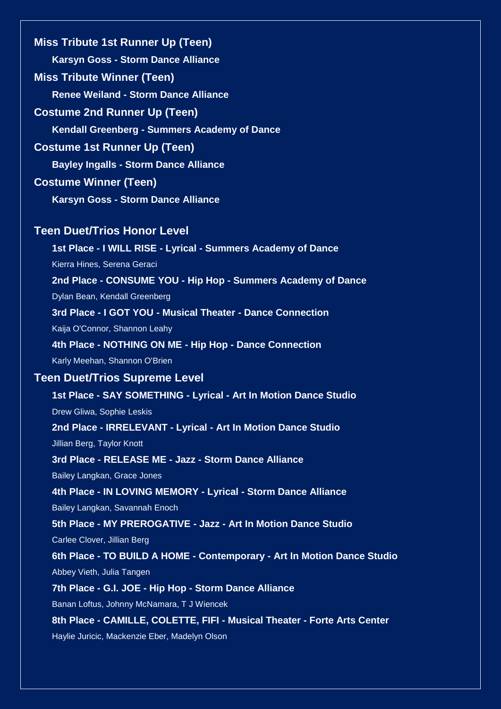**Miss Tribute 1st Runner Up (Teen) Karsyn Goss - Storm Dance Alliance Miss Tribute Winner (Teen) Renee Weiland - Storm Dance Alliance Costume 2nd Runner Up (Teen) Kendall Greenberg - Summers Academy of Dance Costume 1st Runner Up (Teen) Bayley Ingalls - Storm Dance Alliance Costume Winner (Teen) Karsyn Goss - Storm Dance Alliance**

### **Teen Duet/Trios Honor Level**

**1st Place - I WILL RISE - Lyrical - Summers Academy of Dance** Kierra Hines, Serena Geraci **2nd Place - CONSUME YOU - Hip Hop - Summers Academy of Dance**

Dylan Bean, Kendall Greenberg

**3rd Place - I GOT YOU - Musical Theater - Dance Connection**

Kaija O'Connor, Shannon Leahy

**4th Place - NOTHING ON ME - Hip Hop - Dance Connection** Karly Meehan, Shannon O'Brien

### **Teen Duet/Trios Supreme Level**

**1st Place - SAY SOMETHING - Lyrical - Art In Motion Dance Studio**

Drew Gliwa, Sophie Leskis

**2nd Place - IRRELEVANT - Lyrical - Art In Motion Dance Studio**

Jillian Berg, Taylor Knott

**3rd Place - RELEASE ME - Jazz - Storm Dance Alliance**

Bailey Langkan, Grace Jones

### **4th Place - IN LOVING MEMORY - Lyrical - Storm Dance Alliance**

Bailey Langkan, Savannah Enoch

**5th Place - MY PREROGATIVE - Jazz - Art In Motion Dance Studio**

Carlee Clover, Jillian Berg

**6th Place - TO BUILD A HOME - Contemporary - Art In Motion Dance Studio** Abbey Vieth, Julia Tangen

**7th Place - G.I. JOE - Hip Hop - Storm Dance Alliance**

Banan Loftus, Johnny McNamara, T J Wiencek

**8th Place - CAMILLE, COLETTE, FIFI - Musical Theater - Forte Arts Center**

Haylie Juricic, Mackenzie Eber, Madelyn Olson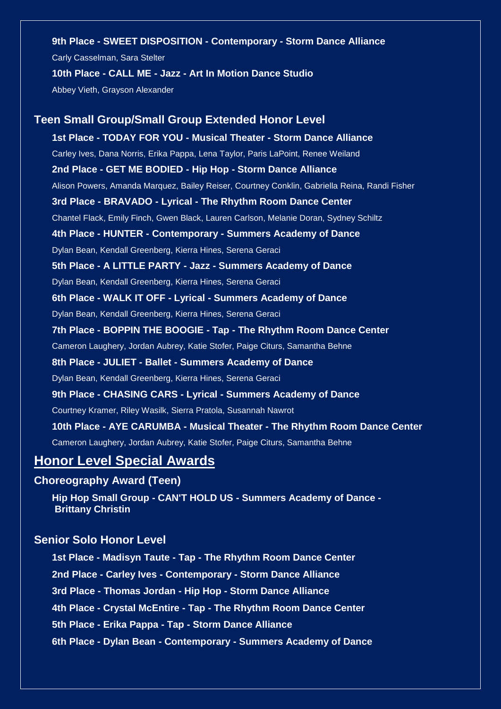### **9th Place - SWEET DISPOSITION - Contemporary - Storm Dance Alliance**

Carly Casselman, Sara Stelter

### **10th Place - CALL ME - Jazz - Art In Motion Dance Studio**

Abbey Vieth, Grayson Alexander

# **Teen Small Group/Small Group Extended Honor Level 1st Place - TODAY FOR YOU - Musical Theater - Storm Dance Alliance** Carley Ives, Dana Norris, Erika Pappa, Lena Taylor, Paris LaPoint, Renee Weiland **2nd Place - GET ME BODIED - Hip Hop - Storm Dance Alliance** Alison Powers, Amanda Marquez, Bailey Reiser, Courtney Conklin, Gabriella Reina, Randi Fisher **3rd Place - BRAVADO - Lyrical - The Rhythm Room Dance Center** Chantel Flack, Emily Finch, Gwen Black, Lauren Carlson, Melanie Doran, Sydney Schiltz **4th Place - HUNTER - Contemporary - Summers Academy of Dance** Dylan Bean, Kendall Greenberg, Kierra Hines, Serena Geraci **5th Place - A LITTLE PARTY - Jazz - Summers Academy of Dance** Dylan Bean, Kendall Greenberg, Kierra Hines, Serena Geraci **6th Place - WALK IT OFF - Lyrical - Summers Academy of Dance** Dylan Bean, Kendall Greenberg, Kierra Hines, Serena Geraci **7th Place - BOPPIN THE BOOGIE - Tap - The Rhythm Room Dance Center** Cameron Laughery, Jordan Aubrey, Katie Stofer, Paige Citurs, Samantha Behne **8th Place - JULIET - Ballet - Summers Academy of Dance** Dylan Bean, Kendall Greenberg, Kierra Hines, Serena Geraci **9th Place - CHASING CARS - Lyrical - Summers Academy of Dance** Courtney Kramer, Riley Wasilk, Sierra Pratola, Susannah Nawrot **10th Place - AYE CARUMBA - Musical Theater - The Rhythm Room Dance Center** Cameron Laughery, Jordan Aubrey, Katie Stofer, Paige Citurs, Samantha Behne

## **Honor Level Special Awards**

### **Choreography Award (Teen)**

**Hip Hop Small Group - CAN'T HOLD US - Summers Academy of Dance - Brittany Christin**

## **Senior Solo Honor Level**

**1st Place - Madisyn Taute - Tap - The Rhythm Room Dance Center 2nd Place - Carley Ives - Contemporary - Storm Dance Alliance 3rd Place - Thomas Jordan - Hip Hop - Storm Dance Alliance 4th Place - Crystal McEntire - Tap - The Rhythm Room Dance Center 5th Place - Erika Pappa - Tap - Storm Dance Alliance 6th Place - Dylan Bean - Contemporary - Summers Academy of Dance**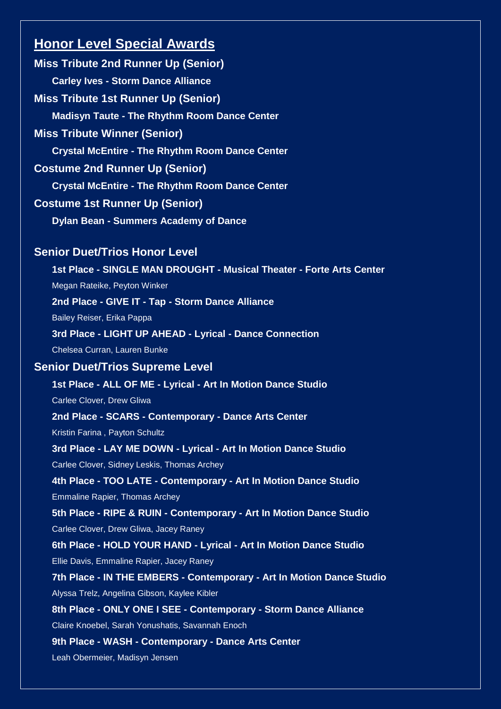## **Honor Level Special Awards**

**Miss Tribute 2nd Runner Up (Senior) Carley Ives - Storm Dance Alliance Miss Tribute 1st Runner Up (Senior) Madisyn Taute - The Rhythm Room Dance Center Miss Tribute Winner (Senior) Crystal McEntire - The Rhythm Room Dance Center Costume 2nd Runner Up (Senior) Crystal McEntire - The Rhythm Room Dance Center Costume 1st Runner Up (Senior) Dylan Bean - Summers Academy of Dance Senior Duet/Trios Honor Level 1st Place - SINGLE MAN DROUGHT - Musical Theater - Forte Arts Center** Megan Rateike, Peyton Winker **2nd Place - GIVE IT - Tap - Storm Dance Alliance** Bailey Reiser, Erika Pappa **3rd Place - LIGHT UP AHEAD - Lyrical - Dance Connection** Chelsea Curran, Lauren Bunke **Senior Duet/Trios Supreme Level 1st Place - ALL OF ME - Lyrical - Art In Motion Dance Studio** Carlee Clover, Drew Gliwa **2nd Place - SCARS - Contemporary - Dance Arts Center** Kristin Farina , Payton Schultz **3rd Place - LAY ME DOWN - Lyrical - Art In Motion Dance Studio** Carlee Clover, Sidney Leskis, Thomas Archey **4th Place - TOO LATE - Contemporary - Art In Motion Dance Studio** Emmaline Rapier, Thomas Archey **5th Place - RIPE & RUIN - Contemporary - Art In Motion Dance Studio** Carlee Clover, Drew Gliwa, Jacey Raney **6th Place - HOLD YOUR HAND - Lyrical - Art In Motion Dance Studio** Ellie Davis, Emmaline Rapier, Jacey Raney **7th Place - IN THE EMBERS - Contemporary - Art In Motion Dance Studio** Alyssa Trelz, Angelina Gibson, Kaylee Kibler **8th Place - ONLY ONE I SEE - Contemporary - Storm Dance Alliance** Claire Knoebel, Sarah Yonushatis, Savannah Enoch **9th Place - WASH - Contemporary - Dance Arts Center** Leah Obermeier, Madisyn Jensen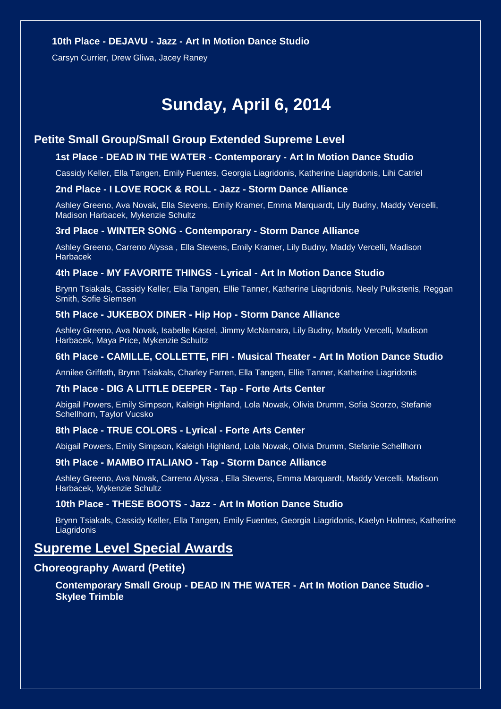### **10th Place - DEJAVU - Jazz - Art In Motion Dance Studio**

Carsyn Currier, Drew Gliwa, Jacey Raney

# **Sunday, April 6, 2014**

### **Petite Small Group/Small Group Extended Supreme Level**

### **1st Place - DEAD IN THE WATER - Contemporary - Art In Motion Dance Studio**

Cassidy Keller, Ella Tangen, Emily Fuentes, Georgia Liagridonis, Katherine Liagridonis, Lihi Catriel

#### **2nd Place - I LOVE ROCK & ROLL - Jazz - Storm Dance Alliance**

Ashley Greeno, Ava Novak, Ella Stevens, Emily Kramer, Emma Marquardt, Lily Budny, Maddy Vercelli, Madison Harbacek, Mykenzie Schultz

### **3rd Place - WINTER SONG - Contemporary - Storm Dance Alliance**

Ashley Greeno, Carreno Alyssa , Ella Stevens, Emily Kramer, Lily Budny, Maddy Vercelli, Madison Harbacek

### **4th Place - MY FAVORITE THINGS - Lyrical - Art In Motion Dance Studio**

Brynn Tsiakals, Cassidy Keller, Ella Tangen, Ellie Tanner, Katherine Liagridonis, Neely Pulkstenis, Reggan Smith, Sofie Siemsen

#### **5th Place - JUKEBOX DINER - Hip Hop - Storm Dance Alliance**

Ashley Greeno, Ava Novak, Isabelle Kastel, Jimmy McNamara, Lily Budny, Maddy Vercelli, Madison Harbacek, Maya Price, Mykenzie Schultz

### **6th Place - CAMILLE, COLLETTE, FIFI - Musical Theater - Art In Motion Dance Studio**

Annilee Griffeth, Brynn Tsiakals, Charley Farren, Ella Tangen, Ellie Tanner, Katherine Liagridonis

#### **7th Place - DIG A LITTLE DEEPER - Tap - Forte Arts Center**

Abigail Powers, Emily Simpson, Kaleigh Highland, Lola Nowak, Olivia Drumm, Sofia Scorzo, Stefanie Schellhorn, Taylor Vucsko

#### **8th Place - TRUE COLORS - Lyrical - Forte Arts Center**

Abigail Powers, Emily Simpson, Kaleigh Highland, Lola Nowak, Olivia Drumm, Stefanie Schellhorn

#### **9th Place - MAMBO ITALIANO - Tap - Storm Dance Alliance**

Ashley Greeno, Ava Novak, Carreno Alyssa , Ella Stevens, Emma Marquardt, Maddy Vercelli, Madison Harbacek, Mykenzie Schultz

#### **10th Place - THESE BOOTS - Jazz - Art In Motion Dance Studio**

Brynn Tsiakals, Cassidy Keller, Ella Tangen, Emily Fuentes, Georgia Liagridonis, Kaelyn Holmes, Katherine **Liagridonis** 

## **Supreme Level Special Awards**

### **Choreography Award (Petite)**

### **Contemporary Small Group - DEAD IN THE WATER - Art In Motion Dance Studio - Skylee Trimble**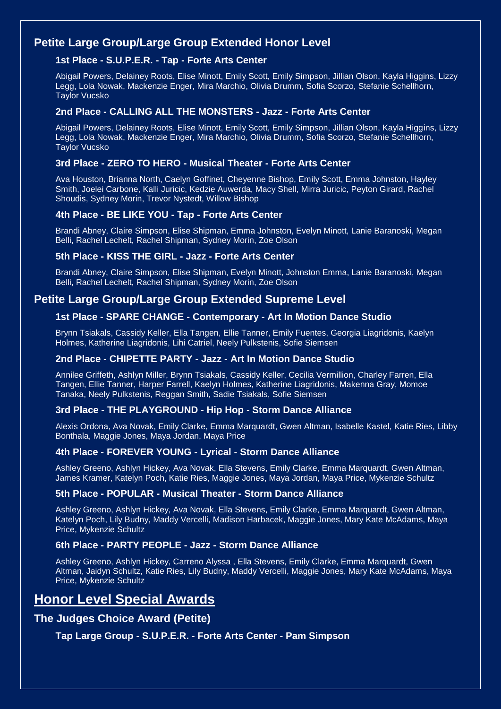### **Petite Large Group/Large Group Extended Honor Level**

### **1st Place - S.U.P.E.R. - Tap - Forte Arts Center**

Abigail Powers, Delainey Roots, Elise Minott, Emily Scott, Emily Simpson, Jillian Olson, Kayla Higgins, Lizzy Legg, Lola Nowak, Mackenzie Enger, Mira Marchio, Olivia Drumm, Sofia Scorzo, Stefanie Schellhorn, Taylor Vucsko

### **2nd Place - CALLING ALL THE MONSTERS - Jazz - Forte Arts Center**

Abigail Powers, Delainey Roots, Elise Minott, Emily Scott, Emily Simpson, Jillian Olson, Kayla Higgins, Lizzy Legg, Lola Nowak, Mackenzie Enger, Mira Marchio, Olivia Drumm, Sofia Scorzo, Stefanie Schellhorn, Taylor Vucsko

### **3rd Place - ZERO TO HERO - Musical Theater - Forte Arts Center**

Ava Houston, Brianna North, Caelyn Goffinet, Cheyenne Bishop, Emily Scott, Emma Johnston, Hayley Smith, Joelei Carbone, Kalli Juricic, Kedzie Auwerda, Macy Shell, Mirra Juricic, Peyton Girard, Rachel Shoudis, Sydney Morin, Trevor Nystedt, Willow Bishop

### **4th Place - BE LIKE YOU - Tap - Forte Arts Center**

Brandi Abney, Claire Simpson, Elise Shipman, Emma Johnston, Evelyn Minott, Lanie Baranoski, Megan Belli, Rachel Lechelt, Rachel Shipman, Sydney Morin, Zoe Olson

### **5th Place - KISS THE GIRL - Jazz - Forte Arts Center**

Brandi Abney, Claire Simpson, Elise Shipman, Evelyn Minott, Johnston Emma, Lanie Baranoski, Megan Belli, Rachel Lechelt, Rachel Shipman, Sydney Morin, Zoe Olson

### **Petite Large Group/Large Group Extended Supreme Level**

### **1st Place - SPARE CHANGE - Contemporary - Art In Motion Dance Studio**

Brynn Tsiakals, Cassidy Keller, Ella Tangen, Ellie Tanner, Emily Fuentes, Georgia Liagridonis, Kaelyn Holmes, Katherine Liagridonis, Lihi Catriel, Neely Pulkstenis, Sofie Siemsen

### **2nd Place - CHIPETTE PARTY - Jazz - Art In Motion Dance Studio**

Annilee Griffeth, Ashlyn Miller, Brynn Tsiakals, Cassidy Keller, Cecilia Vermillion, Charley Farren, Ella Tangen, Ellie Tanner, Harper Farrell, Kaelyn Holmes, Katherine Liagridonis, Makenna Gray, Momoe Tanaka, Neely Pulkstenis, Reggan Smith, Sadie Tsiakals, Sofie Siemsen

### **3rd Place - THE PLAYGROUND - Hip Hop - Storm Dance Alliance**

Alexis Ordona, Ava Novak, Emily Clarke, Emma Marquardt, Gwen Altman, Isabelle Kastel, Katie Ries, Libby Bonthala, Maggie Jones, Maya Jordan, Maya Price

### **4th Place - FOREVER YOUNG - Lyrical - Storm Dance Alliance**

Ashley Greeno, Ashlyn Hickey, Ava Novak, Ella Stevens, Emily Clarke, Emma Marquardt, Gwen Altman, James Kramer, Katelyn Poch, Katie Ries, Maggie Jones, Maya Jordan, Maya Price, Mykenzie Schultz

### **5th Place - POPULAR - Musical Theater - Storm Dance Alliance**

Ashley Greeno, Ashlyn Hickey, Ava Novak, Ella Stevens, Emily Clarke, Emma Marquardt, Gwen Altman, Katelyn Poch, Lily Budny, Maddy Vercelli, Madison Harbacek, Maggie Jones, Mary Kate McAdams, Maya Price, Mykenzie Schultz

### **6th Place - PARTY PEOPLE - Jazz - Storm Dance Alliance**

Ashley Greeno, Ashlyn Hickey, Carreno Alyssa , Ella Stevens, Emily Clarke, Emma Marquardt, Gwen Altman, Jaidyn Schultz, Katie Ries, Lily Budny, Maddy Vercelli, Maggie Jones, Mary Kate McAdams, Maya Price, Mykenzie Schultz

## **Honor Level Special Awards**

### **The Judges Choice Award (Petite)**

### **Tap Large Group - S.U.P.E.R. - Forte Arts Center - Pam Simpson**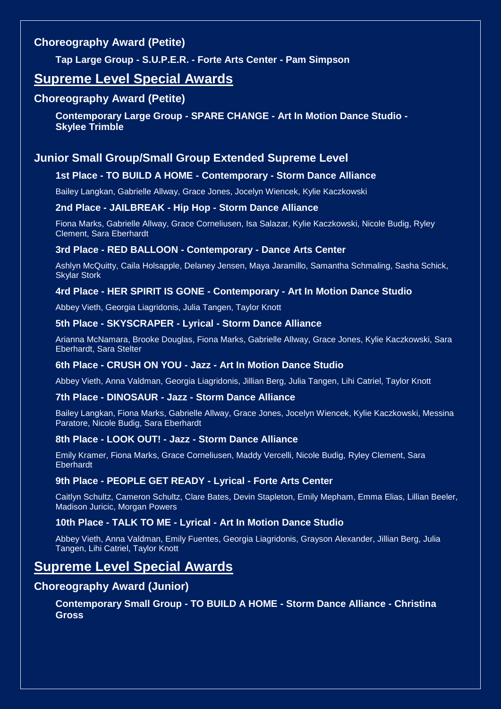## **Choreography Award (Petite)**

**Tap Large Group - S.U.P.E.R. - Forte Arts Center - Pam Simpson**

## **Supreme Level Special Awards**

### **Choreography Award (Petite)**

**Contemporary Large Group - SPARE CHANGE - Art In Motion Dance Studio - Skylee Trimble**

## **Junior Small Group/Small Group Extended Supreme Level**

### **1st Place - TO BUILD A HOME - Contemporary - Storm Dance Alliance**

Bailey Langkan, Gabrielle Allway, Grace Jones, Jocelyn Wiencek, Kylie Kaczkowski

### **2nd Place - JAILBREAK - Hip Hop - Storm Dance Alliance**

Fiona Marks, Gabrielle Allway, Grace Corneliusen, Isa Salazar, Kylie Kaczkowski, Nicole Budig, Ryley Clement, Sara Eberhardt

### **3rd Place - RED BALLOON - Contemporary - Dance Arts Center**

Ashlyn McQuitty, Caila Holsapple, Delaney Jensen, Maya Jaramillo, Samantha Schmaling, Sasha Schick, Skylar Stork

### **4rd Place - HER SPIRIT IS GONE - Contemporary - Art In Motion Dance Studio**

Abbey Vieth, Georgia Liagridonis, Julia Tangen, Taylor Knott

### **5th Place - SKYSCRAPER - Lyrical - Storm Dance Alliance**

Arianna McNamara, Brooke Douglas, Fiona Marks, Gabrielle Allway, Grace Jones, Kylie Kaczkowski, Sara Eberhardt, Sara Stelter

### **6th Place - CRUSH ON YOU - Jazz - Art In Motion Dance Studio**

Abbey Vieth, Anna Valdman, Georgia Liagridonis, Jillian Berg, Julia Tangen, Lihi Catriel, Taylor Knott

### **7th Place - DINOSAUR - Jazz - Storm Dance Alliance**

Bailey Langkan, Fiona Marks, Gabrielle Allway, Grace Jones, Jocelyn Wiencek, Kylie Kaczkowski, Messina Paratore, Nicole Budig, Sara Eberhardt

### **8th Place - LOOK OUT! - Jazz - Storm Dance Alliance**

Emily Kramer, Fiona Marks, Grace Corneliusen, Maddy Vercelli, Nicole Budig, Ryley Clement, Sara Eberhardt

### **9th Place - PEOPLE GET READY - Lyrical - Forte Arts Center**

Caitlyn Schultz, Cameron Schultz, Clare Bates, Devin Stapleton, Emily Mepham, Emma Elias, Lillian Beeler, Madison Juricic, Morgan Powers

### **10th Place - TALK TO ME - Lyrical - Art In Motion Dance Studio**

Abbey Vieth, Anna Valdman, Emily Fuentes, Georgia Liagridonis, Grayson Alexander, Jillian Berg, Julia Tangen, Lihi Catriel, Taylor Knott

## **Supreme Level Special Awards**

### **Choreography Award (Junior)**

### **Contemporary Small Group - TO BUILD A HOME - Storm Dance Alliance - Christina Gross**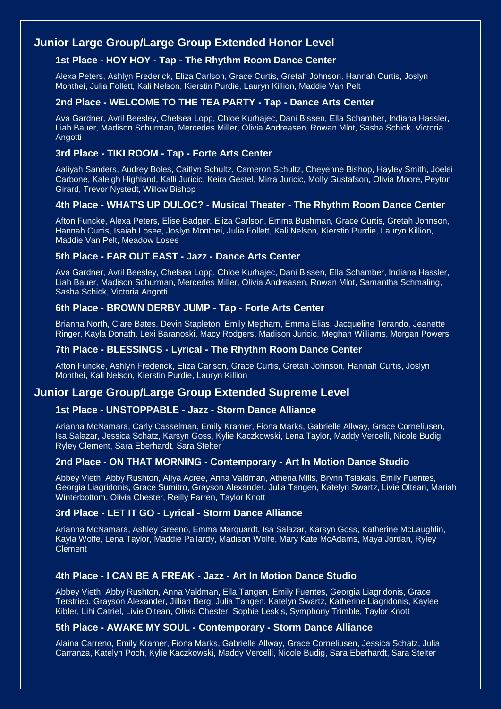### **Junior Large Group/Large Group Extended Honor Level**

### **1st Place - HOY HOY - Tap - The Rhythm Room Dance Center**

Alexa Peters, Ashlyn Frederick, Eliza Carlson, Grace Curtis, Gretah Johnson, Hannah Curtis, Joslyn Monthei, Julia Follett, Kali Nelson, Kierstin Purdie, Lauryn Killion, Maddie Van Pelt

### **2nd Place - WELCOME TO THE TEA PARTY - Tap - Dance Arts Center**

Ava Gardner, Avril Beesley, Chelsea Lopp, Chloe Kurhajec, Dani Bissen, Ella Schamber, Indiana Hassler, Liah Bauer, Madison Schurman, Mercedes Miller, Olivia Andreasen, Rowan Mlot, Sasha Schick, Victoria **Angotti** 

### **3rd Place - TIKI ROOM - Tap - Forte Arts Center**

Aaliyah Sanders, Audrey Boles, Caitlyn Schultz, Cameron Schultz, Cheyenne Bishop, Hayley Smith, Joelei Carbone, Kaleigh Highland, Kalli Juricic, Keira Gestel, Mirra Juricic, Molly Gustafson, Olivia Moore, Peyton Girard, Trevor Nystedt, Willow Bishop

### **4th Place - WHAT'S UP DULOC? - Musical Theater - The Rhythm Room Dance Center**

Afton Funcke, Alexa Peters, Elise Badger, Eliza Carlson, Emma Bushman, Grace Curtis, Gretah Johnson, Hannah Curtis, Isaiah Losee, Joslyn Monthei, Julia Follett, Kali Nelson, Kierstin Purdie, Lauryn Killion, Maddie Van Pelt, Meadow Losee

### **5th Place - FAR OUT EAST - Jazz - Dance Arts Center**

Ava Gardner, Avril Beesley, Chelsea Lopp, Chloe Kurhajec, Dani Bissen, Ella Schamber, Indiana Hassler, Liah Bauer, Madison Schurman, Mercedes Miller, Olivia Andreasen, Rowan Mlot, Samantha Schmaling, Sasha Schick, Victoria Angotti

### **6th Place - BROWN DERBY JUMP - Tap - Forte Arts Center**

Brianna North, Clare Bates, Devin Stapleton, Emily Mepham, Emma Elias, Jacqueline Terando, Jeanette Ringer, Kayla Donath, Lexi Baranoski, Macy Rodgers, Madison Juricic, Meghan Williams, Morgan Powers

### **7th Place - BLESSINGS - Lyrical - The Rhythm Room Dance Center**

Afton Funcke, Ashlyn Frederick, Eliza Carlson, Grace Curtis, Gretah Johnson, Hannah Curtis, Joslyn Monthei, Kali Nelson, Kierstin Purdie, Lauryn Killion

### **Junior Large Group/Large Group Extended Supreme Level**

### **1st Place - UNSTOPPABLE - Jazz - Storm Dance Alliance**

Arianna McNamara, Carly Casselman, Emily Kramer, Fiona Marks, Gabrielle Allway, Grace Corneliusen, Isa Salazar, Jessica Schatz, Karsyn Goss, Kylie Kaczkowski, Lena Taylor, Maddy Vercelli, Nicole Budig, Ryley Clement, Sara Eberhardt, Sara Stelter

### **2nd Place - ON THAT MORNING - Contemporary - Art In Motion Dance Studio**

Abbey Vieth, Abby Rushton, Aliya Acree, Anna Valdman, Athena Mills, Brynn Tsiakals, Emily Fuentes, Georgia Liagridonis, Grace Sumitro, Grayson Alexander, Julia Tangen, Katelyn Swartz, Livie Oltean, Mariah Winterbottom, Olivia Chester, Reilly Farren, Taylor Knott

### **3rd Place - LET IT GO - Lyrical - Storm Dance Alliance**

Arianna McNamara, Ashley Greeno, Emma Marquardt, Isa Salazar, Karsyn Goss, Katherine McLaughlin, Kayla Wolfe, Lena Taylor, Maddie Pallardy, Madison Wolfe, Mary Kate McAdams, Maya Jordan, Ryley Clement

### **4th Place - I CAN BE A FREAK - Jazz - Art In Motion Dance Studio**

Abbey Vieth, Abby Rushton, Anna Valdman, Ella Tangen, Emily Fuentes, Georgia Liagridonis, Grace Terstriep, Grayson Alexander, Jillian Berg, Julia Tangen, Katelyn Swartz, Katherine Liagridonis, Kaylee Kibler, Lihi Catriel, Livie Oltean, Olivia Chester, Sophie Leskis, Symphony Trimble, Taylor Knott

### **5th Place - AWAKE MY SOUL - Contemporary - Storm Dance Alliance**

Alaina Carreno, Emily Kramer, Fiona Marks, Gabrielle Allway, Grace Corneliusen, Jessica Schatz, Julia Carranza, Katelyn Poch, Kylie Kaczkowski, Maddy Vercelli, Nicole Budig, Sara Eberhardt, Sara Stelter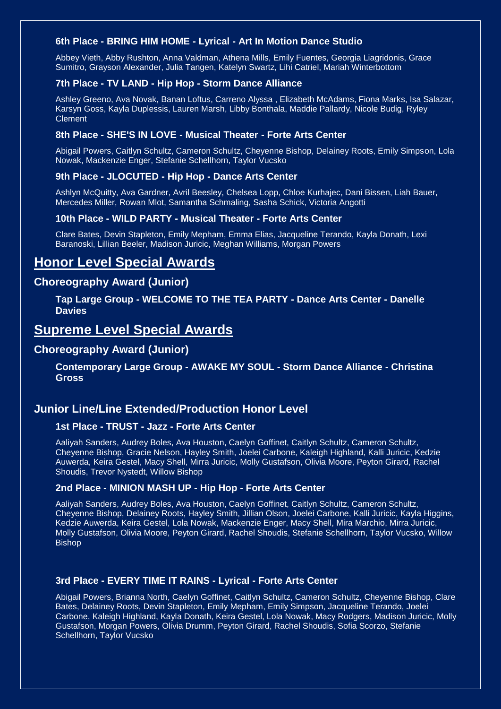### **6th Place - BRING HIM HOME - Lyrical - Art In Motion Dance Studio**

Abbey Vieth, Abby Rushton, Anna Valdman, Athena Mills, Emily Fuentes, Georgia Liagridonis, Grace Sumitro, Grayson Alexander, Julia Tangen, Katelyn Swartz, Lihi Catriel, Mariah Winterbottom

### **7th Place - TV LAND - Hip Hop - Storm Dance Alliance**

Ashley Greeno, Ava Novak, Banan Loftus, Carreno Alyssa , Elizabeth McAdams, Fiona Marks, Isa Salazar, Karsyn Goss, Kayla Duplessis, Lauren Marsh, Libby Bonthala, Maddie Pallardy, Nicole Budig, Ryley Clement

### **8th Place - SHE'S IN LOVE - Musical Theater - Forte Arts Center**

Abigail Powers, Caitlyn Schultz, Cameron Schultz, Cheyenne Bishop, Delainey Roots, Emily Simpson, Lola Nowak, Mackenzie Enger, Stefanie Schellhorn, Taylor Vucsko

### **9th Place - JLOCUTED - Hip Hop - Dance Arts Center**

Ashlyn McQuitty, Ava Gardner, Avril Beesley, Chelsea Lopp, Chloe Kurhajec, Dani Bissen, Liah Bauer, Mercedes Miller, Rowan Mlot, Samantha Schmaling, Sasha Schick, Victoria Angotti

### **10th Place - WILD PARTY - Musical Theater - Forte Arts Center**

Clare Bates, Devin Stapleton, Emily Mepham, Emma Elias, Jacqueline Terando, Kayla Donath, Lexi Baranoski, Lillian Beeler, Madison Juricic, Meghan Williams, Morgan Powers

## **Honor Level Special Awards**

### **Choreography Award (Junior)**

**Tap Large Group - WELCOME TO THE TEA PARTY - Dance Arts Center - Danelle Davies**

### **Supreme Level Special Awards**

### **Choreography Award (Junior)**

### **Contemporary Large Group - AWAKE MY SOUL - Storm Dance Alliance - Christina Gross**

### **Junior Line/Line Extended/Production Honor Level**

### **1st Place - TRUST - Jazz - Forte Arts Center**

Aaliyah Sanders, Audrey Boles, Ava Houston, Caelyn Goffinet, Caitlyn Schultz, Cameron Schultz, Cheyenne Bishop, Gracie Nelson, Hayley Smith, Joelei Carbone, Kaleigh Highland, Kalli Juricic, Kedzie Auwerda, Keira Gestel, Macy Shell, Mirra Juricic, Molly Gustafson, Olivia Moore, Peyton Girard, Rachel Shoudis, Trevor Nystedt, Willow Bishop

### **2nd Place - MINION MASH UP - Hip Hop - Forte Arts Center**

Aaliyah Sanders, Audrey Boles, Ava Houston, Caelyn Goffinet, Caitlyn Schultz, Cameron Schultz, Cheyenne Bishop, Delainey Roots, Hayley Smith, Jillian Olson, Joelei Carbone, Kalli Juricic, Kayla Higgins, Kedzie Auwerda, Keira Gestel, Lola Nowak, Mackenzie Enger, Macy Shell, Mira Marchio, Mirra Juricic, Molly Gustafson, Olivia Moore, Peyton Girard, Rachel Shoudis, Stefanie Schellhorn, Taylor Vucsko, Willow Bishop

### **3rd Place - EVERY TIME IT RAINS - Lyrical - Forte Arts Center**

Abigail Powers, Brianna North, Caelyn Goffinet, Caitlyn Schultz, Cameron Schultz, Cheyenne Bishop, Clare Bates, Delainey Roots, Devin Stapleton, Emily Mepham, Emily Simpson, Jacqueline Terando, Joelei Carbone, Kaleigh Highland, Kayla Donath, Keira Gestel, Lola Nowak, Macy Rodgers, Madison Juricic, Molly Gustafson, Morgan Powers, Olivia Drumm, Peyton Girard, Rachel Shoudis, Sofia Scorzo, Stefanie Schellhorn, Taylor Vucsko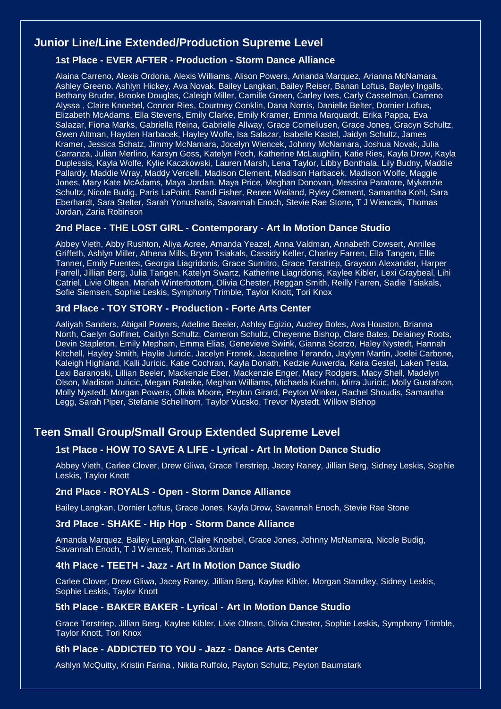### **Junior Line/Line Extended/Production Supreme Level**

### **1st Place - EVER AFTER - Production - Storm Dance Alliance**

Alaina Carreno, Alexis Ordona, Alexis Williams, Alison Powers, Amanda Marquez, Arianna McNamara, Ashley Greeno, Ashlyn Hickey, Ava Novak, Bailey Langkan, Bailey Reiser, Banan Loftus, Bayley Ingalls, Bethany Bruder, Brooke Douglas, Caleigh Miller, Camille Green, Carley Ives, Carly Casselman, Carreno Alyssa , Claire Knoebel, Connor Ries, Courtney Conklin, Dana Norris, Danielle Belter, Dornier Loftus, Elizabeth McAdams, Ella Stevens, Emily Clarke, Emily Kramer, Emma Marquardt, Erika Pappa, Eva Salazar, Fiona Marks, Gabriella Reina, Gabrielle Allway, Grace Corneliusen, Grace Jones, Gracyn Schultz, Gwen Altman, Hayden Harbacek, Hayley Wolfe, Isa Salazar, Isabelle Kastel, Jaidyn Schultz, James Kramer, Jessica Schatz, Jimmy McNamara, Jocelyn Wiencek, Johnny McNamara, Joshua Novak, Julia Carranza, Julian Merlino, Karsyn Goss, Katelyn Poch, Katherine McLaughlin, Katie Ries, Kayla Drow, Kayla Duplessis, Kayla Wolfe, Kylie Kaczkowski, Lauren Marsh, Lena Taylor, Libby Bonthala, Lily Budny, Maddie Pallardy, Maddie Wray, Maddy Vercelli, Madison Clement, Madison Harbacek, Madison Wolfe, Maggie Jones, Mary Kate McAdams, Maya Jordan, Maya Price, Meghan Donovan, Messina Paratore, Mykenzie Schultz, Nicole Budig, Paris LaPoint, Randi Fisher, Renee Weiland, Ryley Clement, Samantha Kohl, Sara Eberhardt, Sara Stelter, Sarah Yonushatis, Savannah Enoch, Stevie Rae Stone, T J Wiencek, Thomas Jordan, Zaria Robinson

### **2nd Place - THE LOST GIRL - Contemporary - Art In Motion Dance Studio**

Abbey Vieth, Abby Rushton, Aliya Acree, Amanda Yeazel, Anna Valdman, Annabeth Cowsert, Annilee Griffeth, Ashlyn Miller, Athena Mills, Brynn Tsiakals, Cassidy Keller, Charley Farren, Ella Tangen, Ellie Tanner, Emily Fuentes, Georgia Liagridonis, Grace Sumitro, Grace Terstriep, Grayson Alexander, Harper Farrell, Jillian Berg, Julia Tangen, Katelyn Swartz, Katherine Liagridonis, Kaylee Kibler, Lexi Graybeal, Lihi Catriel, Livie Oltean, Mariah Winterbottom, Olivia Chester, Reggan Smith, Reilly Farren, Sadie Tsiakals, Sofie Siemsen, Sophie Leskis, Symphony Trimble, Taylor Knott, Tori Knox

### **3rd Place - TOY STORY - Production - Forte Arts Center**

Aaliyah Sanders, Abigail Powers, Adeline Beeler, Ashley Egizio, Audrey Boles, Ava Houston, Brianna North, Caelyn Goffinet, Caitlyn Schultz, Cameron Schultz, Cheyenne Bishop, Clare Bates, Delainey Roots, Devin Stapleton, Emily Mepham, Emma Elias, Genevieve Swink, Gianna Scorzo, Haley Nystedt, Hannah Kitchell, Hayley Smith, Haylie Juricic, Jacelyn Fronek, Jacqueline Terando, Jaylynn Martin, Joelei Carbone, Kaleigh Highland, Kalli Juricic, Katie Cochran, Kayla Donath, Kedzie Auwerda, Keira Gestel, Laken Testa, Lexi Baranoski, Lillian Beeler, Mackenzie Eber, Mackenzie Enger, Macy Rodgers, Macy Shell, Madelyn Olson, Madison Juricic, Megan Rateike, Meghan Williams, Michaela Kuehni, Mirra Juricic, Molly Gustafson, Molly Nystedt, Morgan Powers, Olivia Moore, Peyton Girard, Peyton Winker, Rachel Shoudis, Samantha Legg, Sarah Piper, Stefanie Schellhorn, Taylor Vucsko, Trevor Nystedt, Willow Bishop

### **Teen Small Group/Small Group Extended Supreme Level**

### **1st Place - HOW TO SAVE A LIFE - Lyrical - Art In Motion Dance Studio**

Abbey Vieth, Carlee Clover, Drew Gliwa, Grace Terstriep, Jacey Raney, Jillian Berg, Sidney Leskis, Sophie Leskis, Taylor Knott

#### **2nd Place - ROYALS - Open - Storm Dance Alliance**

Bailey Langkan, Dornier Loftus, Grace Jones, Kayla Drow, Savannah Enoch, Stevie Rae Stone

### **3rd Place - SHAKE - Hip Hop - Storm Dance Alliance**

Amanda Marquez, Bailey Langkan, Claire Knoebel, Grace Jones, Johnny McNamara, Nicole Budig, Savannah Enoch, T J Wiencek, Thomas Jordan

#### **4th Place - TEETH - Jazz - Art In Motion Dance Studio**

Carlee Clover, Drew Gliwa, Jacey Raney, Jillian Berg, Kaylee Kibler, Morgan Standley, Sidney Leskis, Sophie Leskis, Taylor Knott

#### **5th Place - BAKER BAKER - Lyrical - Art In Motion Dance Studio**

Grace Terstriep, Jillian Berg, Kaylee Kibler, Livie Oltean, Olivia Chester, Sophie Leskis, Symphony Trimble, Taylor Knott, Tori Knox

### **6th Place - ADDICTED TO YOU - Jazz - Dance Arts Center**

Ashlyn McQuitty, Kristin Farina , Nikita Ruffolo, Payton Schultz, Peyton Baumstark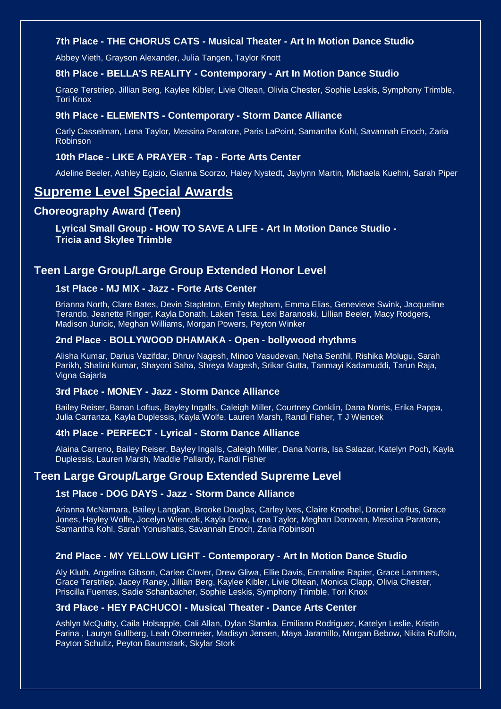### **7th Place - THE CHORUS CATS - Musical Theater - Art In Motion Dance Studio**

Abbey Vieth, Grayson Alexander, Julia Tangen, Taylor Knott

### **8th Place - BELLA'S REALITY - Contemporary - Art In Motion Dance Studio**

Grace Terstriep, Jillian Berg, Kaylee Kibler, Livie Oltean, Olivia Chester, Sophie Leskis, Symphony Trimble, Tori Knox

#### **9th Place - ELEMENTS - Contemporary - Storm Dance Alliance**

Carly Casselman, Lena Taylor, Messina Paratore, Paris LaPoint, Samantha Kohl, Savannah Enoch, Zaria Robinson

### **10th Place - LIKE A PRAYER - Tap - Forte Arts Center**

Adeline Beeler, Ashley Egizio, Gianna Scorzo, Haley Nystedt, Jaylynn Martin, Michaela Kuehni, Sarah Piper

## **Supreme Level Special Awards**

### **Choreography Award (Teen)**

**Lyrical Small Group - HOW TO SAVE A LIFE - Art In Motion Dance Studio - Tricia and Skylee Trimble**

### **Teen Large Group/Large Group Extended Honor Level**

### **1st Place - MJ MIX - Jazz - Forte Arts Center**

Brianna North, Clare Bates, Devin Stapleton, Emily Mepham, Emma Elias, Genevieve Swink, Jacqueline Terando, Jeanette Ringer, Kayla Donath, Laken Testa, Lexi Baranoski, Lillian Beeler, Macy Rodgers, Madison Juricic, Meghan Williams, Morgan Powers, Peyton Winker

### **2nd Place - BOLLYWOOD DHAMAKA - Open - bollywood rhythms**

Alisha Kumar, Darius Vazifdar, Dhruv Nagesh, Minoo Vasudevan, Neha Senthil, Rishika Molugu, Sarah Parikh, Shalini Kumar, Shayoni Saha, Shreya Magesh, Srikar Gutta, Tanmayi Kadamuddi, Tarun Raja, Vigna Gajarla

#### **3rd Place - MONEY - Jazz - Storm Dance Alliance**

Bailey Reiser, Banan Loftus, Bayley Ingalls, Caleigh Miller, Courtney Conklin, Dana Norris, Erika Pappa, Julia Carranza, Kayla Duplessis, Kayla Wolfe, Lauren Marsh, Randi Fisher, T J Wiencek

### **4th Place - PERFECT - Lyrical - Storm Dance Alliance**

Alaina Carreno, Bailey Reiser, Bayley Ingalls, Caleigh Miller, Dana Norris, Isa Salazar, Katelyn Poch, Kayla Duplessis, Lauren Marsh, Maddie Pallardy, Randi Fisher

### **Teen Large Group/Large Group Extended Supreme Level**

### **1st Place - DOG DAYS - Jazz - Storm Dance Alliance**

Arianna McNamara, Bailey Langkan, Brooke Douglas, Carley Ives, Claire Knoebel, Dornier Loftus, Grace Jones, Hayley Wolfe, Jocelyn Wiencek, Kayla Drow, Lena Taylor, Meghan Donovan, Messina Paratore, Samantha Kohl, Sarah Yonushatis, Savannah Enoch, Zaria Robinson

### **2nd Place - MY YELLOW LIGHT - Contemporary - Art In Motion Dance Studio**

Aly Kluth, Angelina Gibson, Carlee Clover, Drew Gliwa, Ellie Davis, Emmaline Rapier, Grace Lammers, Grace Terstriep, Jacey Raney, Jillian Berg, Kaylee Kibler, Livie Oltean, Monica Clapp, Olivia Chester, Priscilla Fuentes, Sadie Schanbacher, Sophie Leskis, Symphony Trimble, Tori Knox

#### **3rd Place - HEY PACHUCO! - Musical Theater - Dance Arts Center**

Ashlyn McQuitty, Caila Holsapple, Cali Allan, Dylan Slamka, Emiliano Rodriguez, Katelyn Leslie, Kristin Farina , Lauryn Gullberg, Leah Obermeier, Madisyn Jensen, Maya Jaramillo, Morgan Bebow, Nikita Ruffolo, Payton Schultz, Peyton Baumstark, Skylar Stork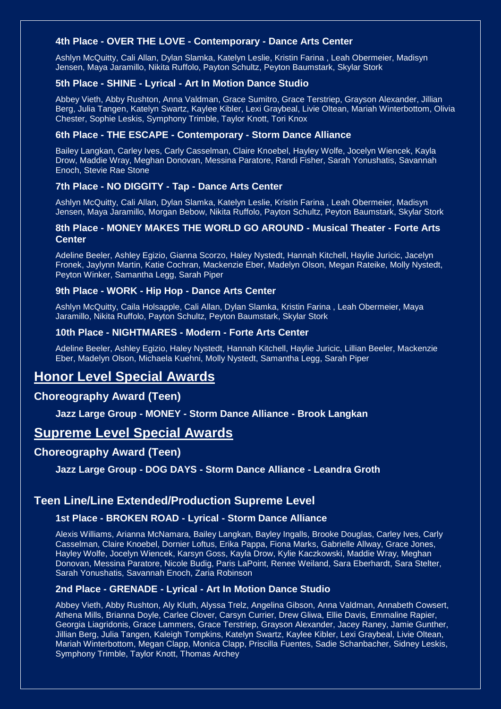### **4th Place - OVER THE LOVE - Contemporary - Dance Arts Center**

Ashlyn McQuitty, Cali Allan, Dylan Slamka, Katelyn Leslie, Kristin Farina , Leah Obermeier, Madisyn Jensen, Maya Jaramillo, Nikita Ruffolo, Payton Schultz, Peyton Baumstark, Skylar Stork

### **5th Place - SHINE - Lyrical - Art In Motion Dance Studio**

Abbey Vieth, Abby Rushton, Anna Valdman, Grace Sumitro, Grace Terstriep, Grayson Alexander, Jillian Berg, Julia Tangen, Katelyn Swartz, Kaylee Kibler, Lexi Graybeal, Livie Oltean, Mariah Winterbottom, Olivia Chester, Sophie Leskis, Symphony Trimble, Taylor Knott, Tori Knox

### **6th Place - THE ESCAPE - Contemporary - Storm Dance Alliance**

Bailey Langkan, Carley Ives, Carly Casselman, Claire Knoebel, Hayley Wolfe, Jocelyn Wiencek, Kayla Drow, Maddie Wray, Meghan Donovan, Messina Paratore, Randi Fisher, Sarah Yonushatis, Savannah Enoch, Stevie Rae Stone

### **7th Place - NO DIGGITY - Tap - Dance Arts Center**

Ashlyn McQuitty, Cali Allan, Dylan Slamka, Katelyn Leslie, Kristin Farina , Leah Obermeier, Madisyn Jensen, Maya Jaramillo, Morgan Bebow, Nikita Ruffolo, Payton Schultz, Peyton Baumstark, Skylar Stork

### **8th Place - MONEY MAKES THE WORLD GO AROUND - Musical Theater - Forte Arts Center**

Adeline Beeler, Ashley Egizio, Gianna Scorzo, Haley Nystedt, Hannah Kitchell, Haylie Juricic, Jacelyn Fronek, Jaylynn Martin, Katie Cochran, Mackenzie Eber, Madelyn Olson, Megan Rateike, Molly Nystedt, Peyton Winker, Samantha Legg, Sarah Piper

### **9th Place - WORK - Hip Hop - Dance Arts Center**

Ashlyn McQuitty, Caila Holsapple, Cali Allan, Dylan Slamka, Kristin Farina , Leah Obermeier, Maya Jaramillo, Nikita Ruffolo, Payton Schultz, Peyton Baumstark, Skylar Stork

### **10th Place - NIGHTMARES - Modern - Forte Arts Center**

Adeline Beeler, Ashley Egizio, Haley Nystedt, Hannah Kitchell, Haylie Juricic, Lillian Beeler, Mackenzie Eber, Madelyn Olson, Michaela Kuehni, Molly Nystedt, Samantha Legg, Sarah Piper

## **Honor Level Special Awards**

### **Choreography Award (Teen)**

**Jazz Large Group - MONEY - Storm Dance Alliance - Brook Langkan**

### **Supreme Level Special Awards**

### **Choreography Award (Teen)**

**Jazz Large Group - DOG DAYS - Storm Dance Alliance - Leandra Groth**

### **Teen Line/Line Extended/Production Supreme Level**

### **1st Place - BROKEN ROAD - Lyrical - Storm Dance Alliance**

Alexis Williams, Arianna McNamara, Bailey Langkan, Bayley Ingalls, Brooke Douglas, Carley Ives, Carly Casselman, Claire Knoebel, Dornier Loftus, Erika Pappa, Fiona Marks, Gabrielle Allway, Grace Jones, Hayley Wolfe, Jocelyn Wiencek, Karsyn Goss, Kayla Drow, Kylie Kaczkowski, Maddie Wray, Meghan Donovan, Messina Paratore, Nicole Budig, Paris LaPoint, Renee Weiland, Sara Eberhardt, Sara Stelter, Sarah Yonushatis, Savannah Enoch, Zaria Robinson

### **2nd Place - GRENADE - Lyrical - Art In Motion Dance Studio**

Abbey Vieth, Abby Rushton, Aly Kluth, Alyssa Trelz, Angelina Gibson, Anna Valdman, Annabeth Cowsert, Athena Mills, Brianna Doyle, Carlee Clover, Carsyn Currier, Drew Gliwa, Ellie Davis, Emmaline Rapier, Georgia Liagridonis, Grace Lammers, Grace Terstriep, Grayson Alexander, Jacey Raney, Jamie Gunther, Jillian Berg, Julia Tangen, Kaleigh Tompkins, Katelyn Swartz, Kaylee Kibler, Lexi Graybeal, Livie Oltean, Mariah Winterbottom, Megan Clapp, Monica Clapp, Priscilla Fuentes, Sadie Schanbacher, Sidney Leskis, Symphony Trimble, Taylor Knott, Thomas Archey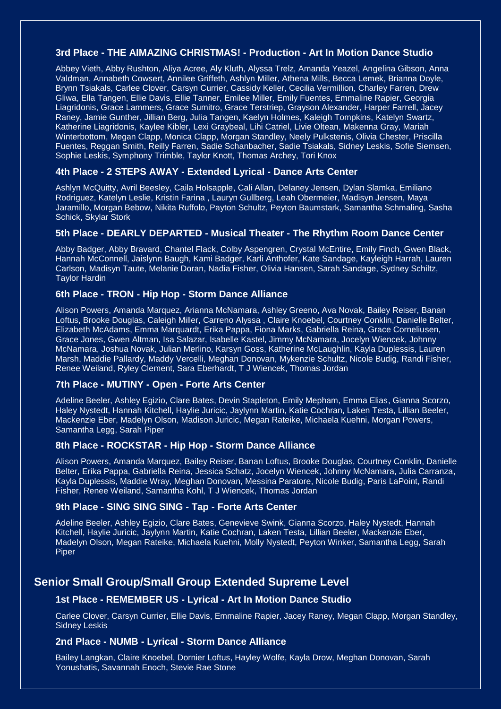### **3rd Place - THE AIMAZING CHRISTMAS! - Production - Art In Motion Dance Studio**

Abbey Vieth, Abby Rushton, Aliya Acree, Aly Kluth, Alyssa Trelz, Amanda Yeazel, Angelina Gibson, Anna Valdman, Annabeth Cowsert, Annilee Griffeth, Ashlyn Miller, Athena Mills, Becca Lemek, Brianna Doyle, Brynn Tsiakals, Carlee Clover, Carsyn Currier, Cassidy Keller, Cecilia Vermillion, Charley Farren, Drew Gliwa, Ella Tangen, Ellie Davis, Ellie Tanner, Emilee Miller, Emily Fuentes, Emmaline Rapier, Georgia Liagridonis, Grace Lammers, Grace Sumitro, Grace Terstriep, Grayson Alexander, Harper Farrell, Jacey Raney, Jamie Gunther, Jillian Berg, Julia Tangen, Kaelyn Holmes, Kaleigh Tompkins, Katelyn Swartz, Katherine Liagridonis, Kaylee Kibler, Lexi Graybeal, Lihi Catriel, Livie Oltean, Makenna Gray, Mariah Winterbottom, Megan Clapp, Monica Clapp, Morgan Standley, Neely Pulkstenis, Olivia Chester, Priscilla Fuentes, Reggan Smith, Reilly Farren, Sadie Schanbacher, Sadie Tsiakals, Sidney Leskis, Sofie Siemsen, Sophie Leskis, Symphony Trimble, Taylor Knott, Thomas Archey, Tori Knox

### **4th Place - 2 STEPS AWAY - Extended Lyrical - Dance Arts Center**

Ashlyn McQuitty, Avril Beesley, Caila Holsapple, Cali Allan, Delaney Jensen, Dylan Slamka, Emiliano Rodriguez, Katelyn Leslie, Kristin Farina , Lauryn Gullberg, Leah Obermeier, Madisyn Jensen, Maya Jaramillo, Morgan Bebow, Nikita Ruffolo, Payton Schultz, Peyton Baumstark, Samantha Schmaling, Sasha Schick, Skylar Stork

### **5th Place - DEARLY DEPARTED - Musical Theater - The Rhythm Room Dance Center**

Abby Badger, Abby Bravard, Chantel Flack, Colby Aspengren, Crystal McEntire, Emily Finch, Gwen Black, Hannah McConnell, Jaislynn Baugh, Kami Badger, Karli Anthofer, Kate Sandage, Kayleigh Harrah, Lauren Carlson, Madisyn Taute, Melanie Doran, Nadia Fisher, Olivia Hansen, Sarah Sandage, Sydney Schiltz, Taylor Hardin

### **6th Place - TRON - Hip Hop - Storm Dance Alliance**

Alison Powers, Amanda Marquez, Arianna McNamara, Ashley Greeno, Ava Novak, Bailey Reiser, Banan Loftus, Brooke Douglas, Caleigh Miller, Carreno Alyssa , Claire Knoebel, Courtney Conklin, Danielle Belter, Elizabeth McAdams, Emma Marquardt, Erika Pappa, Fiona Marks, Gabriella Reina, Grace Corneliusen, Grace Jones, Gwen Altman, Isa Salazar, Isabelle Kastel, Jimmy McNamara, Jocelyn Wiencek, Johnny McNamara, Joshua Novak, Julian Merlino, Karsyn Goss, Katherine McLaughlin, Kayla Duplessis, Lauren Marsh, Maddie Pallardy, Maddy Vercelli, Meghan Donovan, Mykenzie Schultz, Nicole Budig, Randi Fisher, Renee Weiland, Ryley Clement, Sara Eberhardt, T J Wiencek, Thomas Jordan

### **7th Place - MUTINY - Open - Forte Arts Center**

Adeline Beeler, Ashley Egizio, Clare Bates, Devin Stapleton, Emily Mepham, Emma Elias, Gianna Scorzo, Haley Nystedt, Hannah Kitchell, Haylie Juricic, Jaylynn Martin, Katie Cochran, Laken Testa, Lillian Beeler, Mackenzie Eber, Madelyn Olson, Madison Juricic, Megan Rateike, Michaela Kuehni, Morgan Powers, Samantha Legg, Sarah Piper

### **8th Place - ROCKSTAR - Hip Hop - Storm Dance Alliance**

Alison Powers, Amanda Marquez, Bailey Reiser, Banan Loftus, Brooke Douglas, Courtney Conklin, Danielle Belter, Erika Pappa, Gabriella Reina, Jessica Schatz, Jocelyn Wiencek, Johnny McNamara, Julia Carranza, Kayla Duplessis, Maddie Wray, Meghan Donovan, Messina Paratore, Nicole Budig, Paris LaPoint, Randi Fisher, Renee Weiland, Samantha Kohl, T J Wiencek, Thomas Jordan

### **9th Place - SING SING SING - Tap - Forte Arts Center**

Adeline Beeler, Ashley Egizio, Clare Bates, Genevieve Swink, Gianna Scorzo, Haley Nystedt, Hannah Kitchell, Haylie Juricic, Jaylynn Martin, Katie Cochran, Laken Testa, Lillian Beeler, Mackenzie Eber, Madelyn Olson, Megan Rateike, Michaela Kuehni, Molly Nystedt, Peyton Winker, Samantha Legg, Sarah **Piper** 

### **Senior Small Group/Small Group Extended Supreme Level**

### **1st Place - REMEMBER US - Lyrical - Art In Motion Dance Studio**

Carlee Clover, Carsyn Currier, Ellie Davis, Emmaline Rapier, Jacey Raney, Megan Clapp, Morgan Standley, Sidney Leskis

### **2nd Place - NUMB - Lyrical - Storm Dance Alliance**

Bailey Langkan, Claire Knoebel, Dornier Loftus, Hayley Wolfe, Kayla Drow, Meghan Donovan, Sarah Yonushatis, Savannah Enoch, Stevie Rae Stone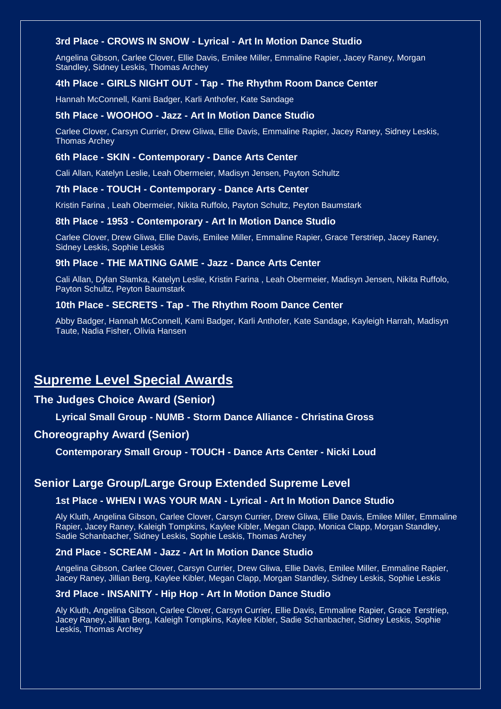### **3rd Place - CROWS IN SNOW - Lyrical - Art In Motion Dance Studio**

Angelina Gibson, Carlee Clover, Ellie Davis, Emilee Miller, Emmaline Rapier, Jacey Raney, Morgan Standley, Sidney Leskis, Thomas Archey

### **4th Place - GIRLS NIGHT OUT - Tap - The Rhythm Room Dance Center**

Hannah McConnell, Kami Badger, Karli Anthofer, Kate Sandage

### **5th Place - WOOHOO - Jazz - Art In Motion Dance Studio**

Carlee Clover, Carsyn Currier, Drew Gliwa, Ellie Davis, Emmaline Rapier, Jacey Raney, Sidney Leskis, Thomas Archey

#### **6th Place - SKIN - Contemporary - Dance Arts Center**

Cali Allan, Katelyn Leslie, Leah Obermeier, Madisyn Jensen, Payton Schultz

#### **7th Place - TOUCH - Contemporary - Dance Arts Center**

Kristin Farina , Leah Obermeier, Nikita Ruffolo, Payton Schultz, Peyton Baumstark

#### **8th Place - 1953 - Contemporary - Art In Motion Dance Studio**

Carlee Clover, Drew Gliwa, Ellie Davis, Emilee Miller, Emmaline Rapier, Grace Terstriep, Jacey Raney, Sidney Leskis, Sophie Leskis

#### **9th Place - THE MATING GAME - Jazz - Dance Arts Center**

Cali Allan, Dylan Slamka, Katelyn Leslie, Kristin Farina , Leah Obermeier, Madisyn Jensen, Nikita Ruffolo, Payton Schultz, Peyton Baumstark

### **10th Place - SECRETS - Tap - The Rhythm Room Dance Center**

Abby Badger, Hannah McConnell, Kami Badger, Karli Anthofer, Kate Sandage, Kayleigh Harrah, Madisyn Taute, Nadia Fisher, Olivia Hansen

## **Supreme Level Special Awards**

### **The Judges Choice Award (Senior)**

**Lyrical Small Group - NUMB - Storm Dance Alliance - Christina Gross**

### **Choreography Award (Senior)**

**Contemporary Small Group - TOUCH - Dance Arts Center - Nicki Loud**

### **Senior Large Group/Large Group Extended Supreme Level**

### **1st Place - WHEN I WAS YOUR MAN - Lyrical - Art In Motion Dance Studio**

Aly Kluth, Angelina Gibson, Carlee Clover, Carsyn Currier, Drew Gliwa, Ellie Davis, Emilee Miller, Emmaline Rapier, Jacey Raney, Kaleigh Tompkins, Kaylee Kibler, Megan Clapp, Monica Clapp, Morgan Standley, Sadie Schanbacher, Sidney Leskis, Sophie Leskis, Thomas Archey

### **2nd Place - SCREAM - Jazz - Art In Motion Dance Studio**

Angelina Gibson, Carlee Clover, Carsyn Currier, Drew Gliwa, Ellie Davis, Emilee Miller, Emmaline Rapier, Jacey Raney, Jillian Berg, Kaylee Kibler, Megan Clapp, Morgan Standley, Sidney Leskis, Sophie Leskis

### **3rd Place - INSANITY - Hip Hop - Art In Motion Dance Studio**

Aly Kluth, Angelina Gibson, Carlee Clover, Carsyn Currier, Ellie Davis, Emmaline Rapier, Grace Terstriep, Jacey Raney, Jillian Berg, Kaleigh Tompkins, Kaylee Kibler, Sadie Schanbacher, Sidney Leskis, Sophie Leskis, Thomas Archey